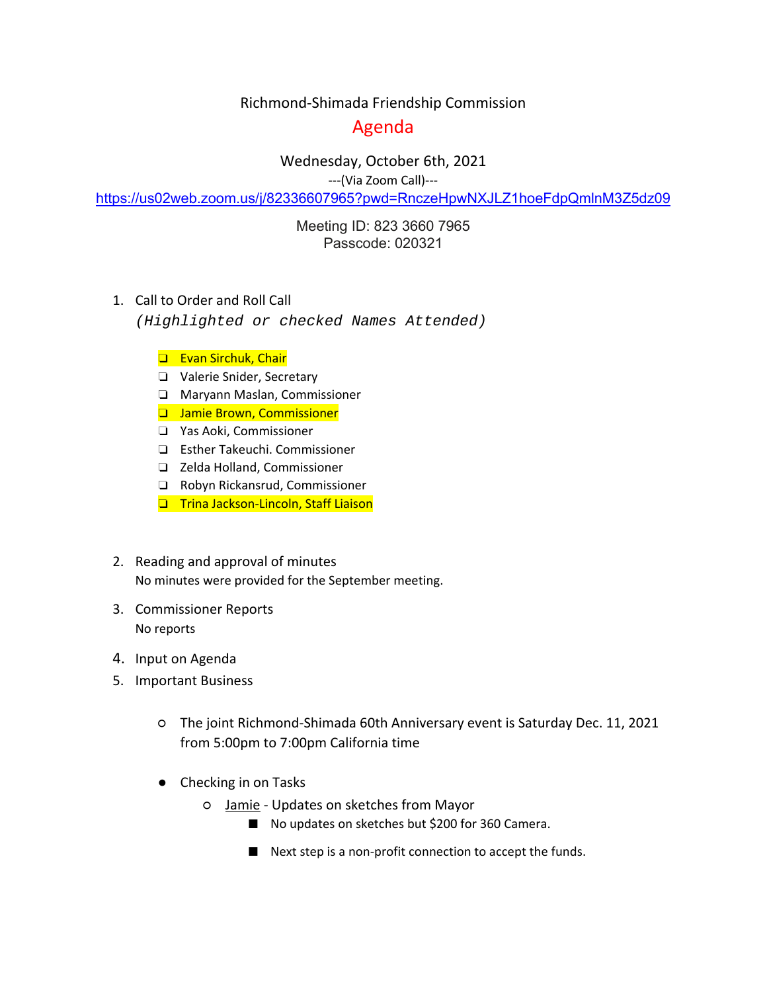## Richmond‐Shimada Friendship Commission

## Agenda

Wednesday, October 6th, 2021

‐‐‐(Via Zoom Call)‐‐‐

https://us02web.zoom.us/j/82336607965?pwd=RnczeHpwNXJLZ1hoeFdpQmlnM3Z5dz09

Meeting ID: 823 3660 7965 Passcode: 020321

1. Call to Order and Roll Call

*(Highlighted or checked Names Attended)* 

- ❏ Evan Sirchuk, Chair
- ❏ Valerie Snider, Secretary
- ❏ Maryann Maslan, Commissioner
- ❏ Jamie Brown, Commissioner
- ❏ Yas Aoki, Commissioner
- ❏ Esther Takeuchi. Commissioner
- ❏ Zelda Holland, Commissioner
- ❏ Robyn Rickansrud, Commissioner
- ❏ Trina Jackson‐Lincoln, Staff Liaison
- 2. Reading and approval of minutes No minutes were provided for the September meeting.
- 3. Commissioner Reports No reports
- 4. Input on Agenda
- 5. Important Business
	- The joint Richmond‐Shimada 60th Anniversary event is Saturday Dec. 11, 2021 from 5:00pm to 7:00pm California time
	- Checking in on Tasks
		- Jamie ‐ Updates on sketches from Mayor
			- No updates on sketches but \$200 for 360 Camera.
			- Next step is a non-profit connection to accept the funds.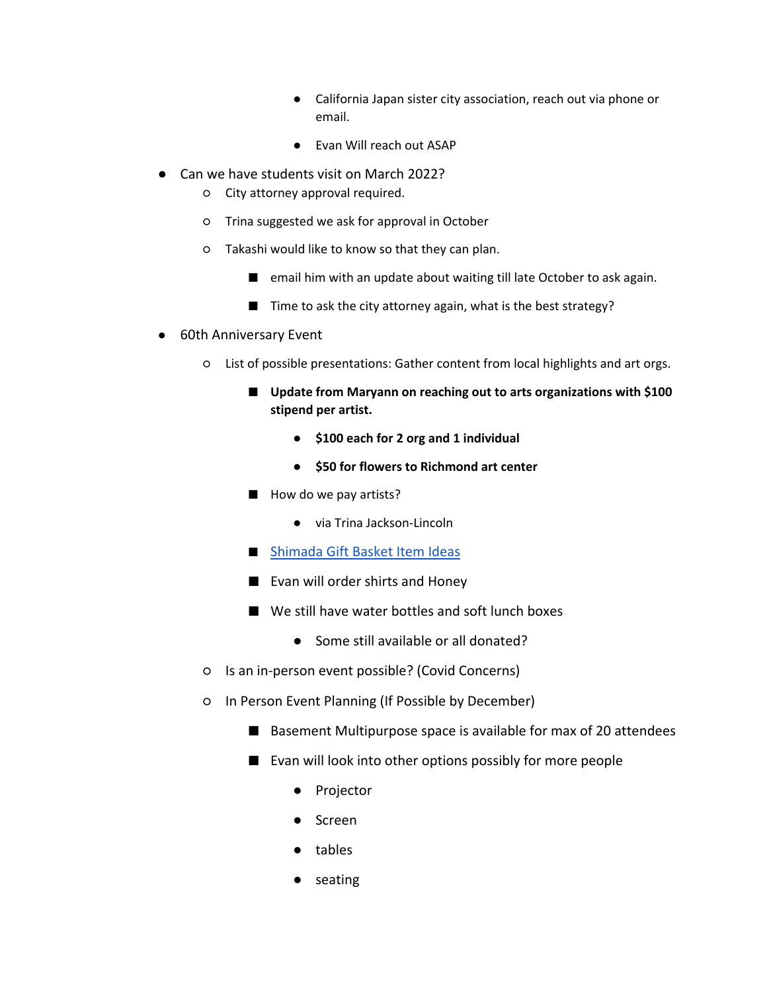- California Japan sister city association, reach out via phone or email.
- Evan Will reach out ASAP
- Can we have students visit on March 2022?
	- City attorney approval required.
	- Trina suggested we ask for approval in October
	- Takashi would like to know so that they can plan.
		- email him with an update about waiting till late October to ask again.
		- Time to ask the city attorney again, what is the best strategy?
- 60th Anniversary Event
	- List of possible presentations: Gather content from local highlights and art orgs.
		- Update from Maryann on reaching out to arts organizations with \$100 **stipend per artist.** 
			- **\$100 each for 2 org and 1 individual**
			- **\$50 for flowers to Richmond art center**
		- How do we pay artists?
			- via Trina Jackson-Lincoln
		- Shimada Gift Basket Item Ideas
		- Evan will order shirts and Honey
		- We still have water bottles and soft lunch boxes
			- Some still available or all donated?
	- Is an in‐person event possible? (Covid Concerns)
	- In Person Event Planning (If Possible by December)
		- Basement Multipurpose space is available for max of 20 attendees
		- Evan will look into other options possibly for more people
			- Projector
			- Screen
			- tables
			- seating